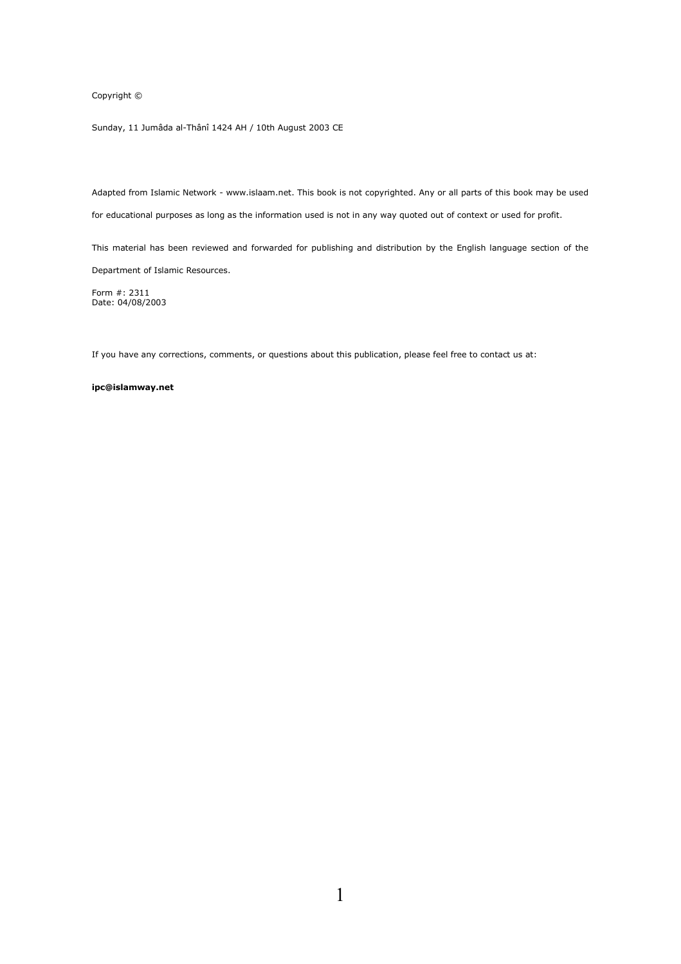Copyright ©

Sunday, 11 Jumâda al-Thânî 1424 AH / 10th August 2003 CE

Adapted from Islamic Network - www.islaam.net. This book is not copyrighted. Any or all parts of this book may be used for educational purposes as long as the information used is not in any way quoted out of context or used for profit.

This material has been reviewed and forwarded for publishing and distribution by the English language section of the Department of Islamic Resources.

Form #: 2311 Date: 04/08/2003

If you have any corrections, comments, or questions about this publication, please feel free to contact us at:

#### ipc@islamway.net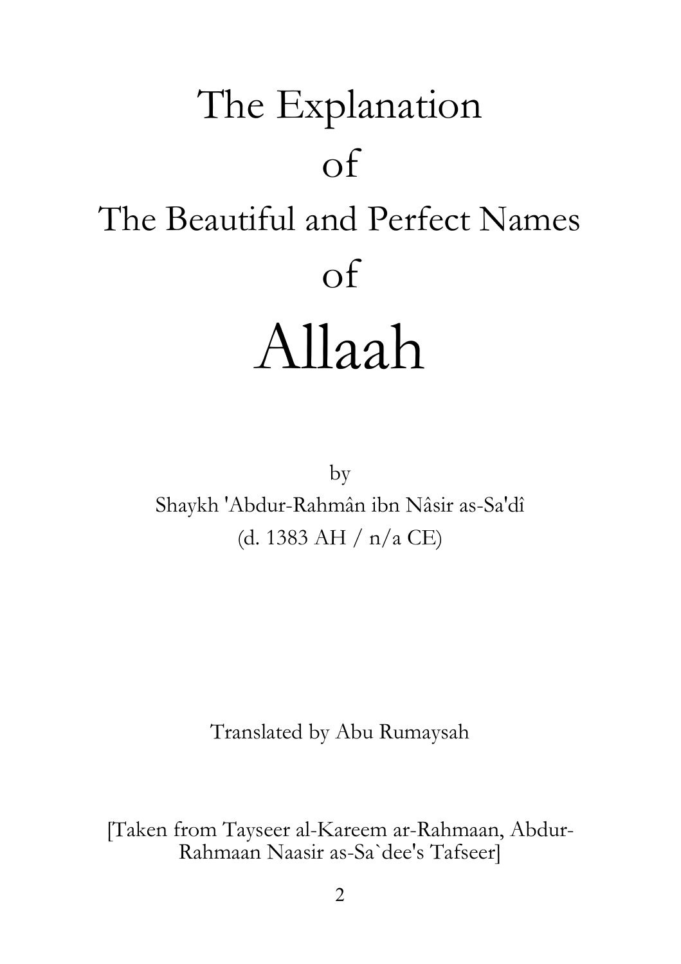# The Explanation  $\overline{of}$ The Beautiful and Perfect Names  $\overline{\text{of}}$ Allaah

by Shaykh 'Abdur-Rahmân ibn Nâsir as-Sa'dî (d. 1383 AH /  $n/a$  CE)

Translated by Abu Rumaysah

[Taken from Tayseer al-Kareem ar-Rahmaan, Abdur-Rahmaan Naasir as-Sa'dee's Tafseer]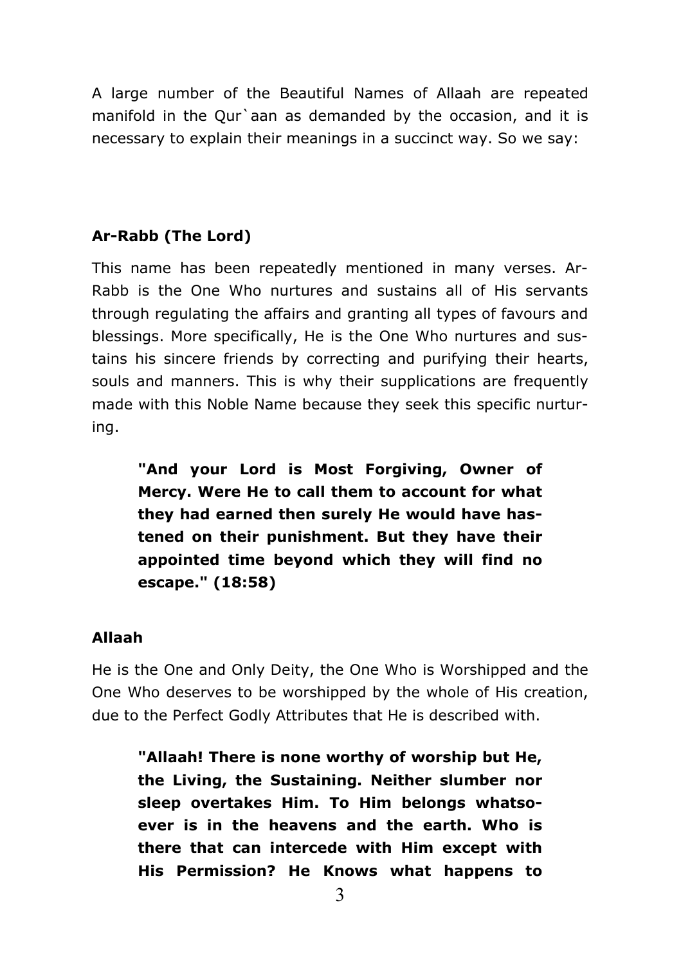A large number of the Beautiful Names of Allaah are repeated manifold in the Qur'aan as demanded by the occasion, and it is necessary to explain their meanings in a succinct way. So we say:

# Ar-Rabb (The Lord)

This name has been repeatedly mentioned in many verses. Ar-Rabb is the One Who nurtures and sustains all of His servants through regulating the affairs and granting all types of favours and blessings. More specifically, He is the One Who nurtures and sustains his sincere friends by correcting and purifying their hearts, souls and manners. This is why their supplications are frequently made with this Noble Name because they seek this specific nurturing.

"And your Lord is Most Forgiving, Owner of Mercy. Were He to call them to account for what they had earned then surely He would have hastened on their punishment. But they have their appointed time beyond which they will find no escape." (18:58)

# **Allaah**

He is the One and Only Deity, the One Who is Worshipped and the One Who deserves to be worshipped by the whole of His creation, due to the Perfect Godly Attributes that He is described with.

"Allaah! There is none worthy of worship but He, the Living, the Sustaining. Neither slumber nor sleep overtakes Him. To Him belongs whatsoever is in the heavens and the earth. Who is there that can intercede with Him except with His Permission? He Knows what happens to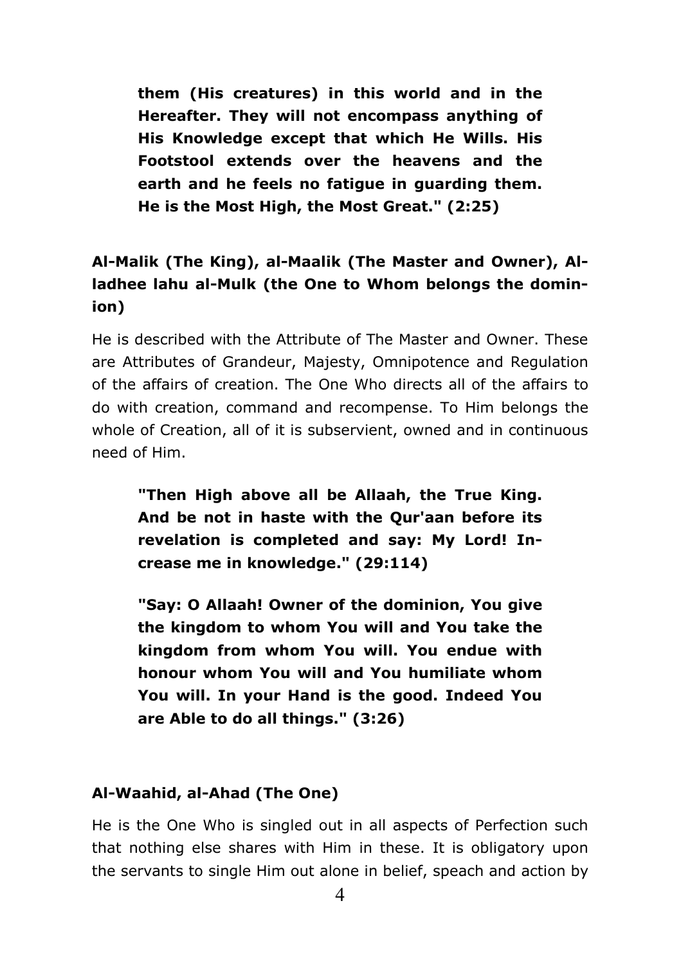them (His creatures) in this world and in the Hereafter. They will not encompass anything of His Knowledge except that which He Wills, His Footstool extends over the heavens and the earth and he feels no fatigue in guarding them. He is the Most High, the Most Great." (2:25)

# Al-Malik (The King), al-Maalik (The Master and Owner), Alladhee lahu al-Mulk (the One to Whom belongs the dominion)

He is described with the Attribute of The Master and Owner. These are Attributes of Grandeur, Majesty, Omnipotence and Regulation of the affairs of creation. The One Who directs all of the affairs to do with creation, command and recompense. To Him belongs the whole of Creation, all of it is subservient, owned and in continuous need of Him.

"Then High above all be Allaah, the True King. And be not in haste with the Our'aan before its revelation is completed and say: My Lord! Increase me in knowledge." (29:114)

"Say: O Allaah! Owner of the dominion, You give the kingdom to whom You will and You take the kingdom from whom You will. You endue with honour whom You will and You humiliate whom You will. In your Hand is the good. Indeed You are Able to do all things." (3:26)

# Al-Waahid, al-Ahad (The One)

He is the One Who is singled out in all aspects of Perfection such that nothing else shares with Him in these. It is obligatory upon the servants to single Him out alone in belief, speach and action by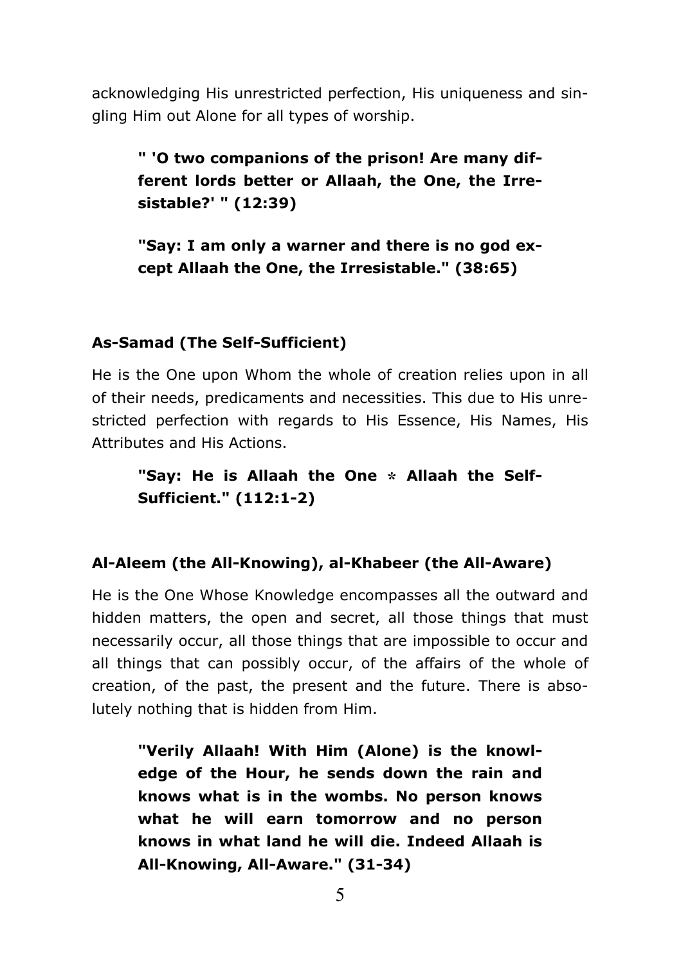acknowledging His unrestricted perfection, His uniqueness and singling Him out Alone for all types of worship.

" 'O two companions of the prison! Are many different lords better or Allaah, the One, the Irresistable?' " (12:39)

"Say: I am only a warner and there is no god except Allaah the One, the Irresistable." (38:65)

## **As-Samad (The Self-Sufficient)**

He is the One upon Whom the whole of creation relies upon in all of their needs, predicaments and necessities. This due to His unrestricted perfection with regards to His Essence, His Names, His Attributes and His Actions.

"Say: He is Allaah the One \* Allaah the Self-**Sufficient." (112:1-2)** 

#### Al-Aleem (the All-Knowing), al-Khabeer (the All-Aware)

He is the One Whose Knowledge encompasses all the outward and hidden matters, the open and secret, all those things that must necessarily occur, all those things that are impossible to occur and all things that can possibly occur, of the affairs of the whole of creation, of the past, the present and the future. There is absolutely nothing that is hidden from Him.

"Verily Allaah! With Him (Alone) is the knowledge of the Hour, he sends down the rain and knows what is in the wombs. No person knows what he will earn tomorrow and no person knows in what land he will die. Indeed Allaah is All-Knowing, All-Aware." (31-34)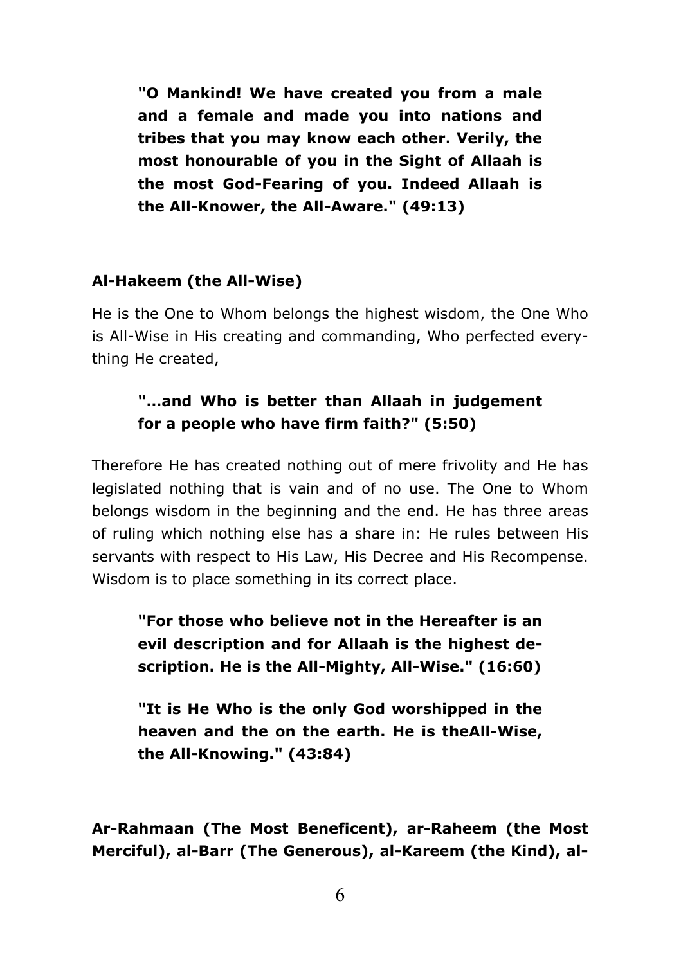"O Mankind! We have created you from a male and a female and made you into nations and tribes that you may know each other, Verily, the most honourable of you in the Sight of Allaah is the most God-Fearing of you. Indeed Allaah is the All-Knower, the All-Aware." (49:13)

## Al-Hakeem (the All-Wise)

He is the One to Whom belongs the highest wisdom, the One Who is All-Wise in His creating and commanding, Who perfected everything He created,

# "...and Who is better than Allaah in judgement for a people who have firm faith?" (5:50)

Therefore He has created nothing out of mere frivolity and He has legislated nothing that is vain and of no use. The One to Whom belongs wisdom in the beginning and the end. He has three areas of ruling which nothing else has a share in: He rules between His servants with respect to His Law, His Decree and His Recompense. Wisdom is to place something in its correct place.

"For those who believe not in the Hereafter is an evil description and for Allaah is the highest description. He is the All-Mighty, All-Wise." (16:60)

"It is He Who is the only God worshipped in the heaven and the on the earth. He is theAll-Wise, the All-Knowing." (43:84)

Ar-Rahmaan (The Most Beneficent), ar-Raheem (the Most Merciful), al-Barr (The Generous), al-Kareem (the Kind), al-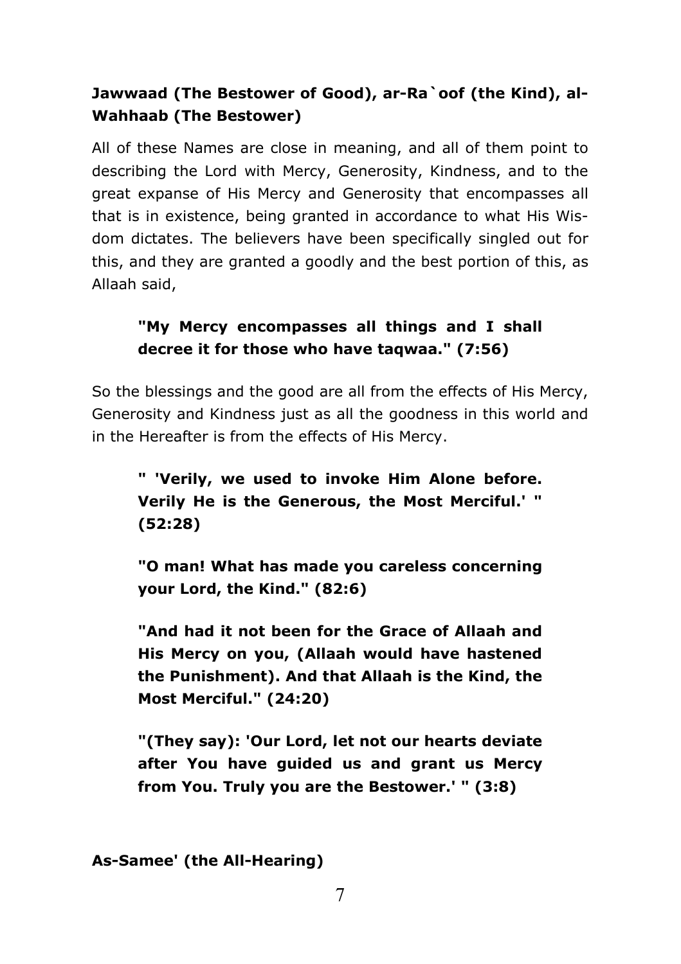# Jawwaad (The Bestower of Good), ar-Ra`oof (the Kind), al-**Wahhaab (The Bestower)**

All of these Names are close in meaning, and all of them point to describing the Lord with Mercy, Generosity, Kindness, and to the great expanse of His Mercy and Generosity that encompasses all that is in existence, being granted in accordance to what His Wisdom dictates. The believers have been specifically singled out for this, and they are granted a goodly and the best portion of this, as Allaah said,

# "My Mercy encompasses all things and I shall decree it for those who have tagwaa." (7:56)

So the blessings and the good are all from the effects of His Mercy, Generosity and Kindness just as all the goodness in this world and in the Hereafter is from the effects of His Mercy.

" 'Verily, we used to invoke Him Alone before. Verily He is the Generous, the Most Merciful.' "  $(52:28)$ 

"O man! What has made you careless concerning your Lord, the Kind." (82:6)

"And had it not been for the Grace of Allaah and His Mercy on you, (Allaah would have hastened the Punishment). And that Allaah is the Kind, the Most Merciful." (24:20)

"(They say): 'Our Lord, let not our hearts deviate after You have quided us and grant us Mercy from You. Truly you are the Bestower.' " (3:8)

As-Samee' (the All-Hearing)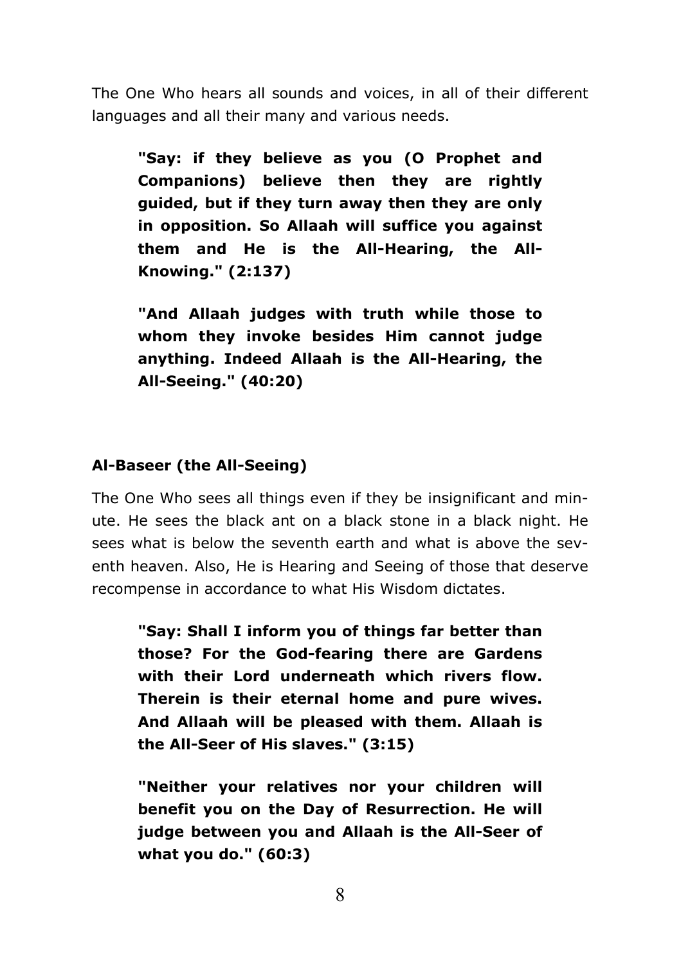The One Who hears all sounds and voices, in all of their different languages and all their many and various needs.

"Say: if they believe as you (O Prophet and Companions) believe then they are rightly guided, but if they turn away then they are only in opposition. So Allaah will suffice vou against them and He is the All-Hearing, the All-Knowing." (2:137)

"And Allaah judges with truth while those to whom they invoke besides Him cannot judge anything. Indeed Allaah is the All-Hearing, the All-Seeing." (40:20)

## Al-Baseer (the All-Seeing)

The One Who sees all things even if they be insignificant and minute. He sees the black ant on a black stone in a black night. He sees what is below the seventh earth and what is above the seventh heaven. Also, He is Hearing and Seeing of those that deserve recompense in accordance to what His Wisdom dictates.

"Say: Shall I inform you of things far better than those? For the God-fearing there are Gardens with their Lord underneath which rivers flow. Therein is their eternal home and pure wives. And Allaah will be pleased with them. Allaah is the All-Seer of His slaves." (3:15)

"Neither your relatives nor your children will benefit you on the Day of Resurrection. He will judge between you and Allaah is the All-Seer of what you do." (60:3)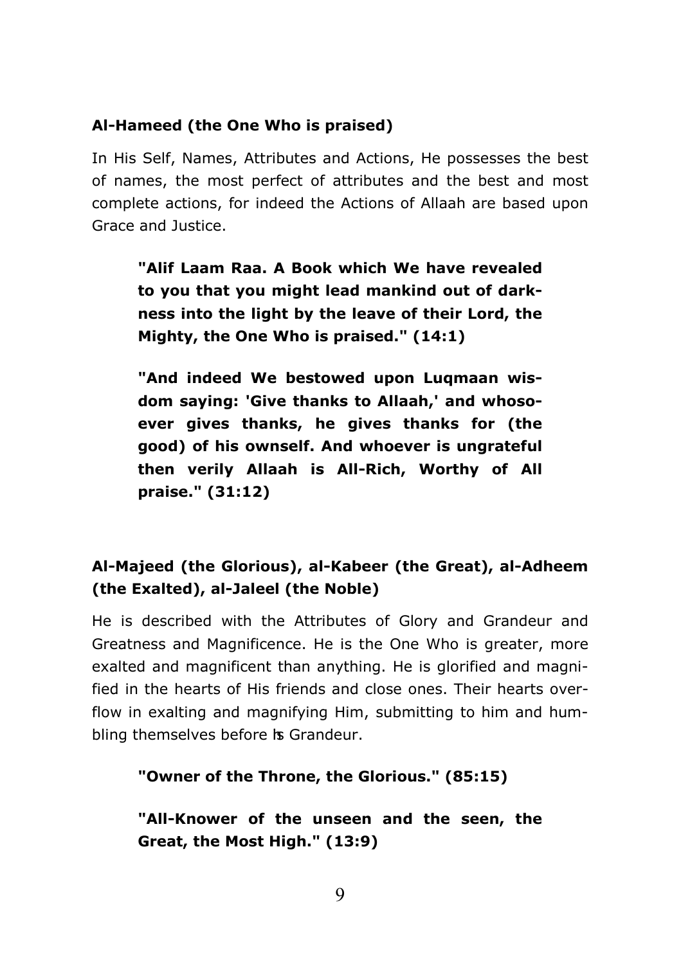## Al-Hameed (the One Who is praised)

In His Self, Names, Attributes and Actions, He possesses the best of names, the most perfect of attributes and the best and most complete actions, for indeed the Actions of Allaah are based upon Grace and Justice.

"Alif Laam Raa. A Book which We have revealed to you that you might lead mankind out of darkness into the light by the leave of their Lord, the Mighty, the One Who is praised." (14:1)

"And indeed We bestowed upon Luamaan wisdom saying: 'Give thanks to Allaah,' and whosoever gives thanks, he gives thanks for (the good) of his ownself. And whoever is ungrateful then verily Allaah is All-Rich, Worthy of All praise." (31:12)

# Al-Majeed (the Glorious), al-Kabeer (the Great), al-Adheem (the Exalted), al-Jaleel (the Noble)

He is described with the Attributes of Glory and Grandeur and Greatness and Magnificence. He is the One Who is greater, more exalted and magnificent than anything. He is glorified and magnified in the hearts of His friends and close ones. Their hearts overflow in exalting and magnifying Him, submitting to him and humbling themselves before is Grandeur.

"Owner of the Throne, the Glorious." (85:15)

"All-Knower of the unseen and the seen, the Great, the Most High." (13:9)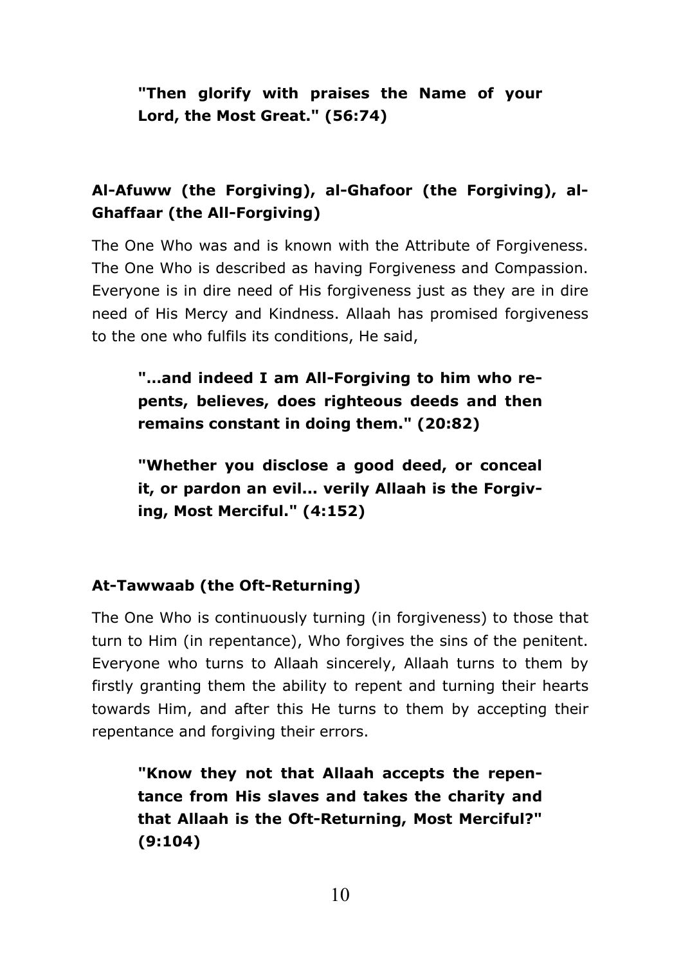"Then glorify with praises the Name of your Lord, the Most Great." (56:74)

# Al-Afuww (the Forgiving), al-Ghafoor (the Forgiving), al-**Ghaffaar (the All-Forgiving)**

The One Who was and is known with the Attribute of Forgiveness. The One Who is described as having Forgiveness and Compassion. Everyone is in dire need of His forgiveness just as they are in dire need of His Mercy and Kindness, Allaah has promised forgiveness to the one who fulfils its conditions, He said,

"...and indeed I am All-Forgiving to him who repents, believes, does righteous deeds and then remains constant in doing them." (20:82)

"Whether you disclose a good deed, or conceal it, or pardon an evil... verily Allaah is the Forgiving, Most Merciful." (4:152)

## At-Tawwaab (the Oft-Returning)

The One Who is continuously turning (in forgiveness) to those that turn to Him (in repentance), Who forgives the sins of the penitent. Evervone who turns to Allaah sincerely, Allaah turns to them by firstly granting them the ability to repent and turning their hearts towards Him, and after this He turns to them by accepting their repentance and forgiving their errors.

"Know they not that Allaah accepts the repentance from His slaves and takes the charity and that Allaah is the Oft-Returning, Most Merciful?"  $(9:104)$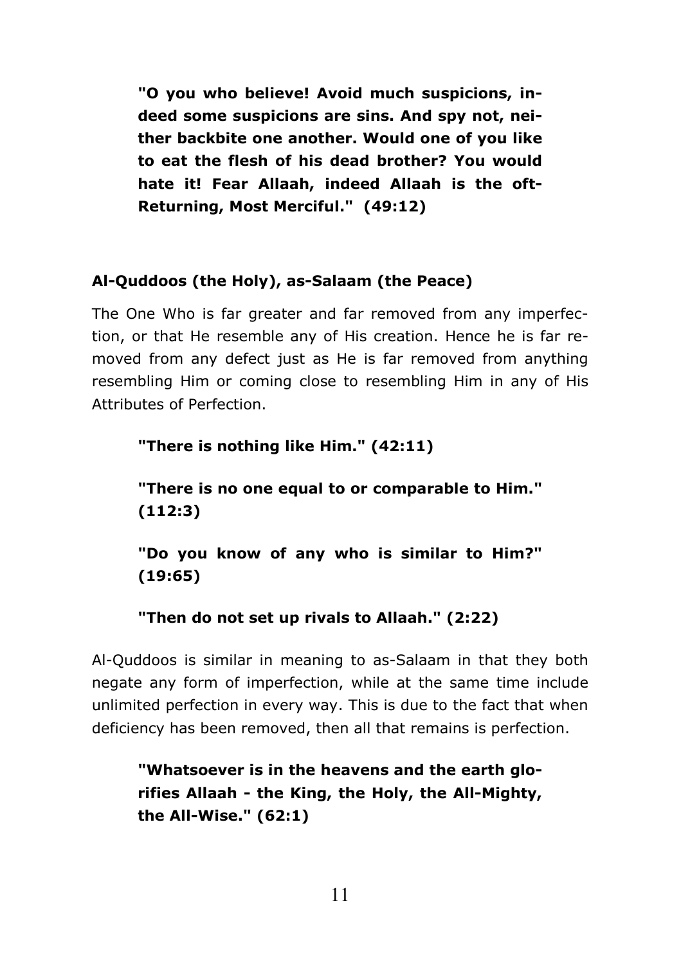"O you who believe! Avoid much suspicions, indeed some suspicions are sins. And spy not, neither backbite one another. Would one of you like to eat the flesh of his dead brother? You would hate it! Fear Allaah, indeed Allaah is the oft-Returning, Most Merciful." (49:12)

# Al-Quddoos (the Holy), as-Salaam (the Peace)

The One Who is far greater and far removed from any imperfection, or that He resemble any of His creation. Hence he is far removed from any defect just as He is far removed from anything resembling Him or coming close to resembling Him in any of His Attributes of Perfection.

"There is nothing like Him." (42:11) "There is no one equal to or comparable to Him."  $(112:3)$ "Do you know of any who is similar to Him?"  $(19:65)$ 

## "Then do not set up rivals to Allaah." (2:22)

Al-Quddoos is similar in meaning to as-Salaam in that they both negate any form of imperfection, while at the same time include unlimited perfection in every way. This is due to the fact that when deficiency has been removed, then all that remains is perfection.

"Whatsoever is in the heavens and the earth glorifies Allaah - the King, the Holy, the All-Mighty, the All-Wise."  $(62:1)$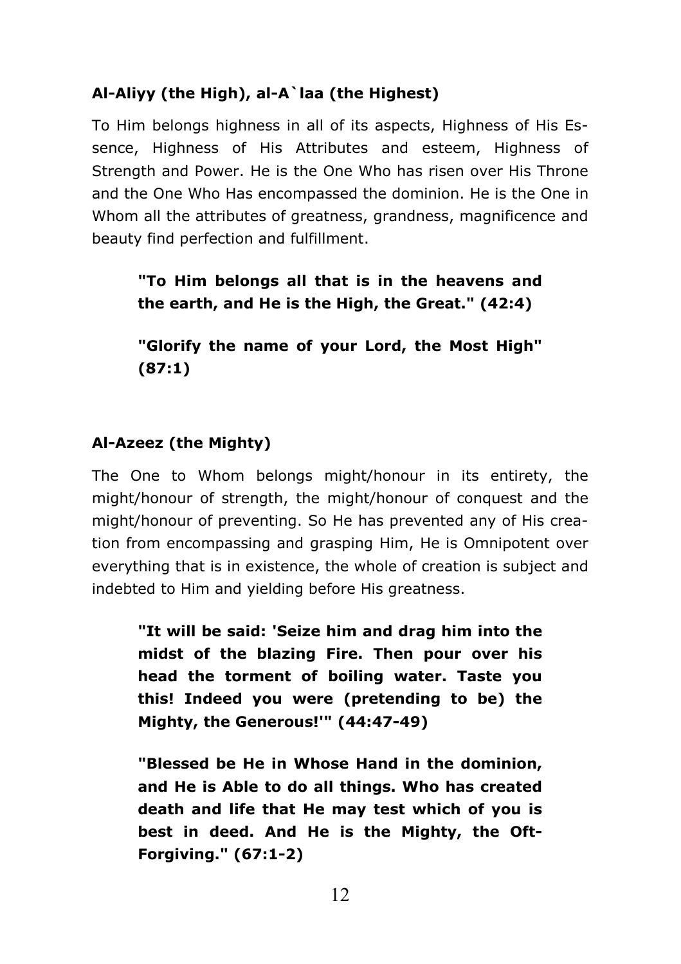# Al-Aliyy (the High), al-A laa (the Highest)

To Him belongs highness in all of its aspects, Highness of His Essence, Highness of His Attributes and esteem, Highness of Strength and Power. He is the One Who has risen over His Throne and the One Who Has encompassed the dominion. He is the One in Whom all the attributes of greatness, grandness, magnificence and beauty find perfection and fulfillment.

"To Him belongs all that is in the heavens and the earth, and He is the High, the Great." (42:4)

"Glorify the name of your Lord, the Most High"  $(87:1)$ 

# Al-Azeez (the Mighty)

The One to Whom belongs might/honour in its entirety, the might/honour of strength, the might/honour of conquest and the might/honour of preventing. So He has prevented any of His creation from encompassing and grasping Him, He is Omnipotent over everything that is in existence, the whole of creation is subject and indebted to Him and yielding before His greatness.

"It will be said: 'Seize him and drag him into the midst of the blazing Fire. Then pour over his head the torment of boiling water. Taste you this! Indeed you were (pretending to be) the Mighty, the Generous!"" (44:47-49)

"Blessed be He in Whose Hand in the dominion, and He is Able to do all things. Who has created death and life that He may test which of you is best in deed. And He is the Mighty, the Oft-**Forgiving." (67:1-2)**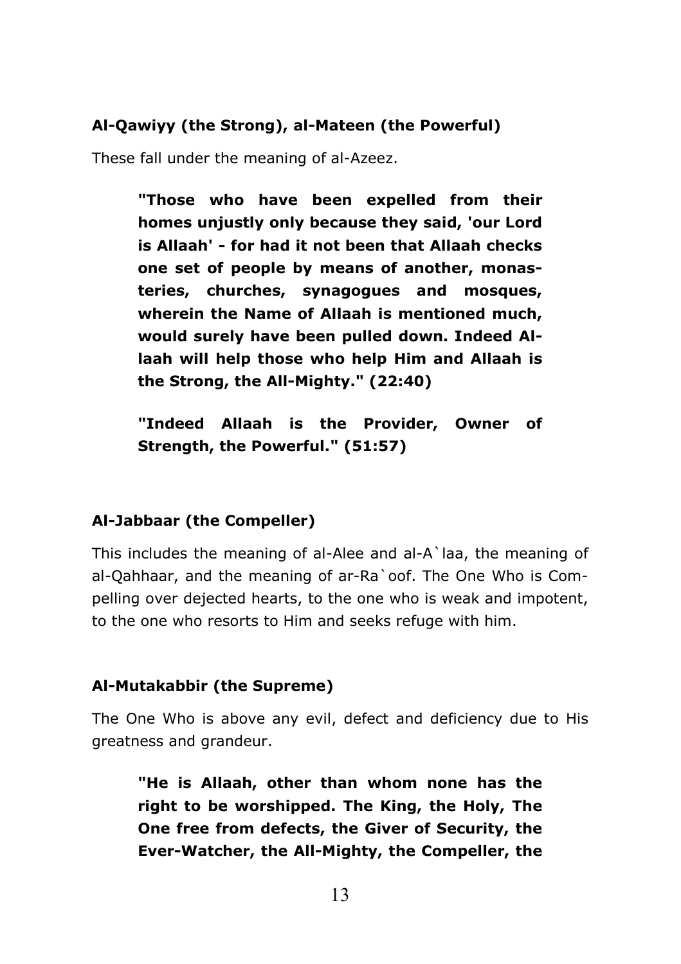## Al-Qawiyy (the Strong), al-Mateen (the Powerful)

These fall under the meaning of al-Azeez.

"Those who have been expelled from their homes unjustly only because they said, 'our Lord is Allaah' - for had it not been that Allaah checks one set of people by means of another, monasteries, churches, synagogues and mosques, wherein the Name of Allaah is mentioned much, would surely have been pulled down. Indeed Allaah will help those who help Him and Allaah is the Strong, the All-Mighty." (22:40)

"Indeed Allaah is the Provider, Owner of Strength, the Powerful." (51:57)

## Al-Jabbaar (the Compeller)

This includes the meaning of al-Alee and al-A'laa, the meaning of al-Oahhaar, and the meaning of ar-Ra oof. The One Who is Compelling over dejected hearts, to the one who is weak and impotent, to the one who resorts to Him and seeks refuge with him.

## Al-Mutakabbir (the Supreme)

The One Who is above any evil, defect and deficiency due to His greatness and grandeur.

"He is Allaah, other than whom none has the right to be worshipped. The King, the Holy, The One free from defects, the Giver of Security, the Ever-Watcher, the All-Mighty, the Compeller, the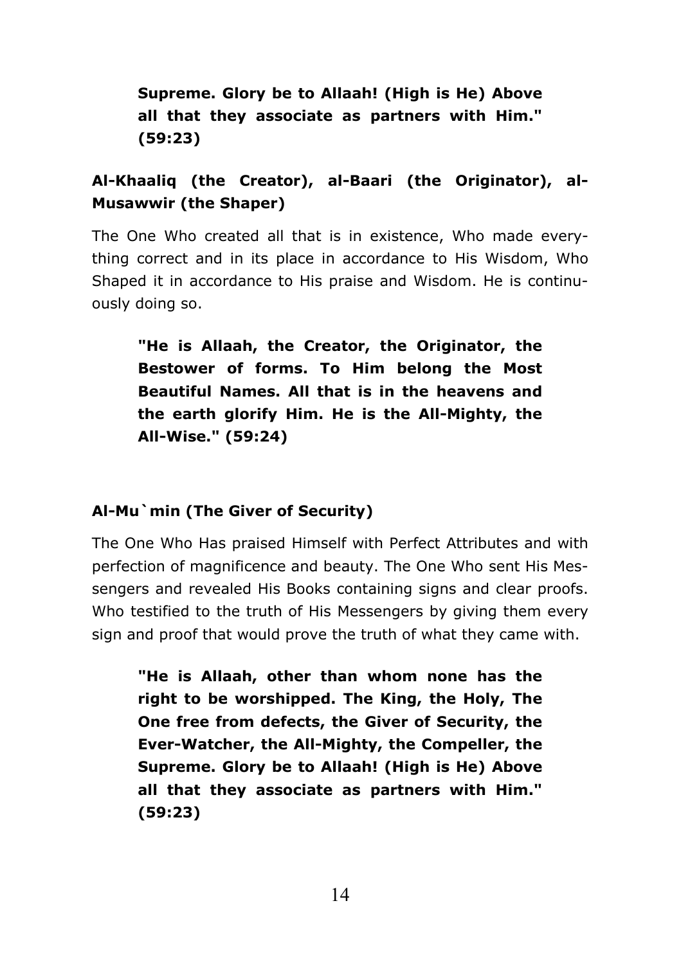# Supreme. Glory be to Allaah! (High is He) Above all that they associate as partners with Him."  $(59:23)$

# Al-Khaalig (the Creator), al-Baari (the Originator), al-**Musawwir (the Shaper)**

The One Who created all that is in existence. Who made everything correct and in its place in accordance to His Wisdom, Who Shaped it in accordance to His praise and Wisdom. He is continuously doing so.

"He is Allaah, the Creator, the Originator, the Bestower of forms. To Him belong the Most Beautiful Names. All that is in the heavens and the earth glorify Him. He is the All-Mighty, the All-Wise." (59:24)

# Al-Mu`min (The Giver of Security)

The One Who Has praised Himself with Perfect Attributes and with perfection of magnificence and beauty. The One Who sent His Messengers and revealed His Books containing signs and clear proofs. Who testified to the truth of His Messengers by giving them every sign and proof that would prove the truth of what they came with.

"He is Allaah, other than whom none has the right to be worshipped. The King, the Holy, The One free from defects, the Giver of Security, the Ever-Watcher, the All-Mighty, the Compeller, the Supreme. Glory be to Allaah! (High is He) Above all that they associate as partners with Him."  $(59:23)$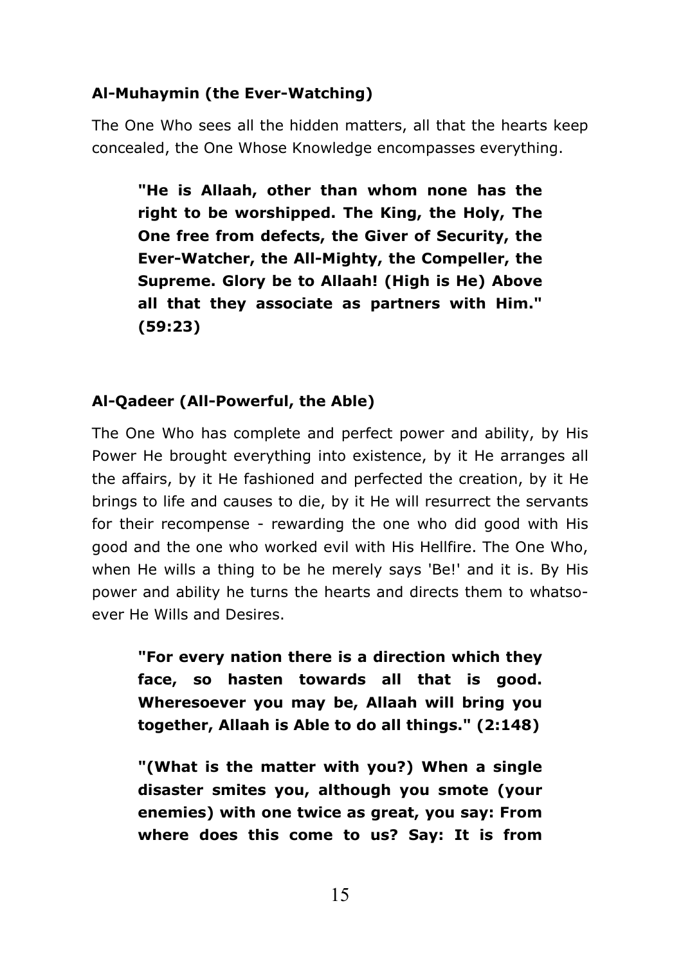# Al-Muhaymin (the Ever-Watching)

The One Who sees all the hidden matters, all that the hearts keep concealed, the One Whose Knowledge encompasses everything.

"He is Allaah, other than whom none has the right to be worshipped. The King, the Holy, The One free from defects, the Giver of Security, the Ever-Watcher, the All-Mighty, the Compeller, the Supreme. Glory be to Allaah! (High is He) Above all that they associate as partners with Him."  $(59:23)$ 

# Al-Qadeer (All-Powerful, the Able)

The One Who has complete and perfect power and ability, by His Power He brought everything into existence, by it He arranges all the affairs, by it He fashioned and perfected the creation, by it He brings to life and causes to die, by it He will resurrect the servants for their recompense - rewarding the one who did good with His good and the one who worked evil with His Hellfire. The One Who, when He wills a thing to be he merely says 'Be!' and it is. By His power and ability he turns the hearts and directs them to whatsoever He Wills and Desires.

"For every nation there is a direction which they face, so hasten towards all that is good. Wheresoever you may be, Allaah will bring you together, Allaah is Able to do all things." (2:148)

"(What is the matter with you?) When a single disaster smites you, although you smote (your enemies) with one twice as great, you say: From where does this come to us? Say: It is from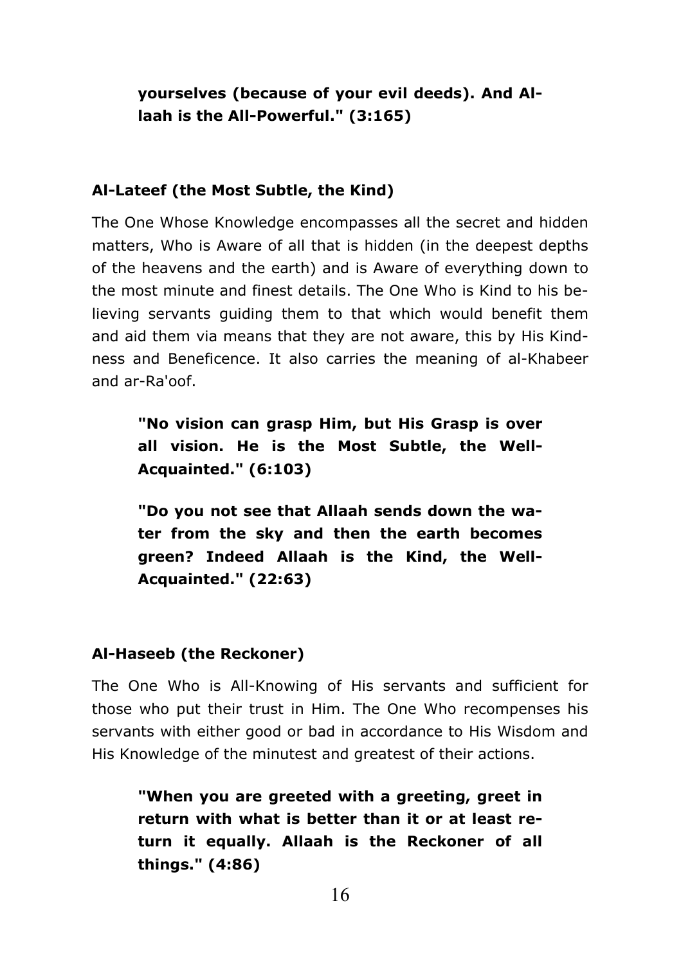# yourselves (because of your evil deeds). And Allaah is the All-Powerful." (3:165)

#### Al-Lateef (the Most Subtle, the Kind)

The One Whose Knowledge encompasses all the secret and hidden matters. Who is Aware of all that is hidden (in the deepest depths of the heavens and the earth) and is Aware of everything down to the most minute and finest details. The One Who is Kind to his believing servants quiding them to that which would benefit them and aid them via means that they are not aware, this by His Kindness and Beneficence. It also carries the meaning of al-Khabeer and ar-Ra'oof.

"No vision can grasp Him, but His Grasp is over all vision. He is the Most Subtle, the Well-Acquainted." (6:103)

"Do you not see that Allaah sends down the water from the sky and then the earth becomes green? Indeed Allaah is the Kind, the Well-Acquainted." (22:63)

#### Al-Haseeb (the Reckoner)

The One Who is All-Knowing of His servants and sufficient for those who put their trust in Him. The One Who recompenses his servants with either good or bad in accordance to His Wisdom and His Knowledge of the minutest and greatest of their actions.

"When you are greeted with a greeting, greet in return with what is better than it or at least return it equally. Allaah is the Reckoner of all things." (4:86)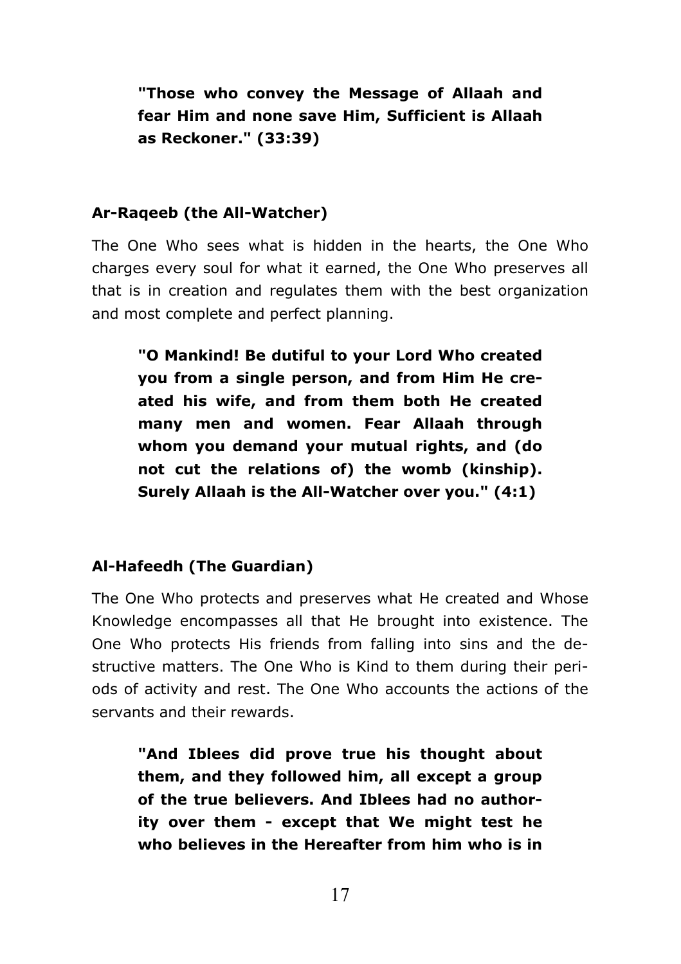"Those who convey the Message of Allaah and fear Him and none save Him, Sufficient is Allaah as Reckoner." (33:39)

### Ar-Rageeb (the All-Watcher)

The One Who sees what is hidden in the hearts, the One Who charges every soul for what it earned, the One Who preserves all that is in creation and regulates them with the best organization and most complete and perfect planning.

"O Mankind! Be dutiful to your Lord Who created vou from a single person, and from Him He created his wife, and from them both He created many men and women. Fear Allaah through whom you demand your mutual rights, and (do not cut the relations of) the womb (kinship). Surely Allaah is the All-Watcher over you." (4:1)

## Al-Hafeedh (The Guardian)

The One Who protects and preserves what He created and Whose Knowledge encompasses all that He brought into existence. The One Who protects His friends from falling into sins and the destructive matters. The One Who is Kind to them during their periods of activity and rest. The One Who accounts the actions of the servants and their rewards.

"And Iblees did prove true his thought about them, and they followed him, all except a group of the true believers. And Iblees had no authority over them - except that We might test he who believes in the Hereafter from him who is in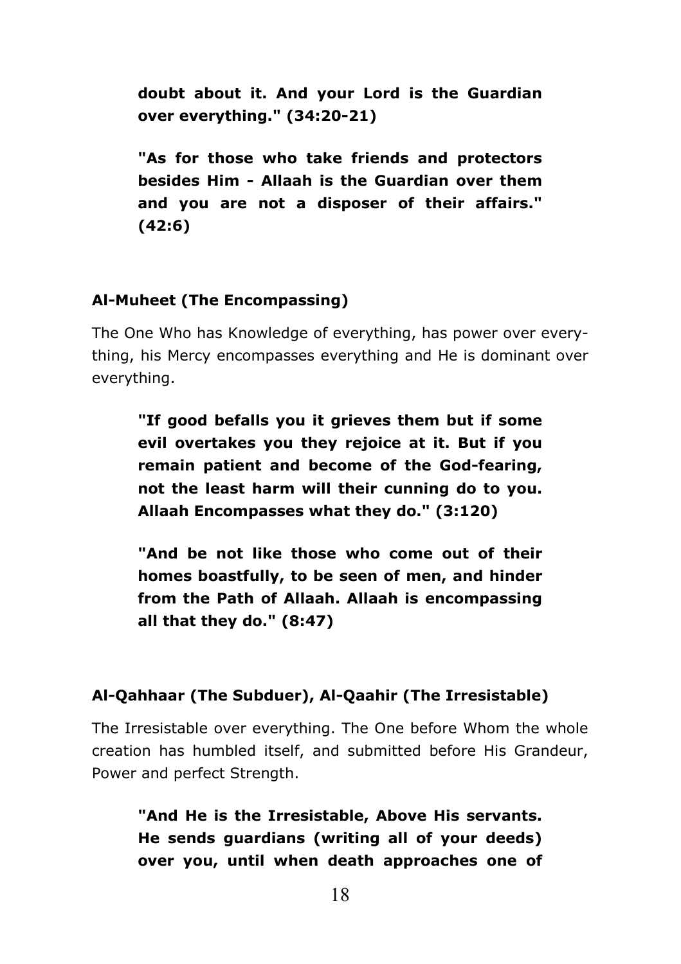doubt about it. And your Lord is the Guardian over everything." (34:20-21)

"As for those who take friends and protectors besides Him - Allaah is the Guardian over them and you are not a disposer of their affairs."  $(42:6)$ 

#### Al-Muheet (The Encompassing)

The One Who has Knowledge of everything, has power over everything, his Mercy encompasses everything and He is dominant over everything.

"If good befalls you it grieves them but if some evil overtakes you they rejoice at it. But if you remain patient and become of the God-fearing, not the least harm will their cunning do to you. Allaah Encompasses what they do." (3:120)

"And be not like those who come out of their homes boastfully, to be seen of men, and hinder from the Path of Allaah. Allaah is encompassing all that they do." (8:47)

#### Al-Qahhaar (The Subduer), Al-Qaahir (The Irresistable)

The Irresistable over everything. The One before Whom the whole creation has humbled itself, and submitted before His Grandeur, Power and perfect Strength.

"And He is the Irresistable, Above His servants. He sends guardians (writing all of your deeds) over you, until when death approaches one of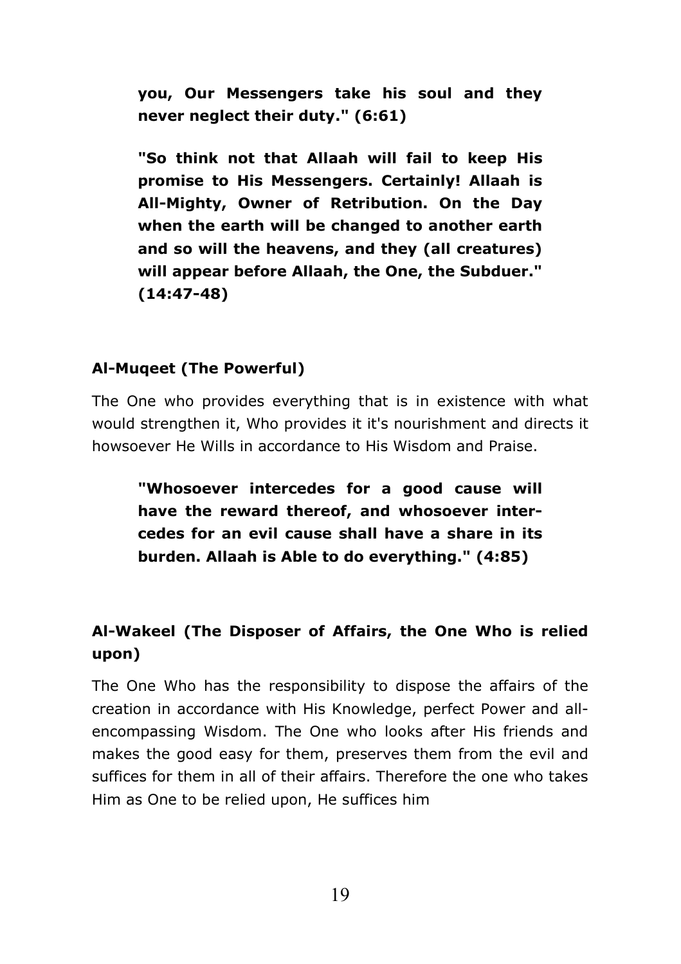you, Our Messengers take his soul and they never neglect their duty." (6:61)

"So think not that Allaah will fail to keep His promise to His Messengers. Certainly! Allaah is All-Mighty, Owner of Retribution. On the Day when the earth will be changed to another earth and so will the heavens, and they (all creatures) will appear before Allaah, the One, the Subduer."  $(14:47-48)$ 

## Al-Mugeet (The Powerful)

The One who provides everything that is in existence with what would strengthen it. Who provides it it's nourishment and directs it howsoever He Wills in accordance to His Wisdom and Praise.

"Whosoever intercedes for a good cause will have the reward thereof, and whosoever intercedes for an evil cause shall have a share in its burden. Allaah is Able to do everything." (4:85)

# Al-Wakeel (The Disposer of Affairs, the One Who is relied upon)

The One Who has the responsibility to dispose the affairs of the creation in accordance with His Knowledge, perfect Power and allencompassing Wisdom. The One who looks after His friends and makes the good easy for them, preserves them from the evil and suffices for them in all of their affairs. Therefore the one who takes Him as One to be relied upon, He suffices him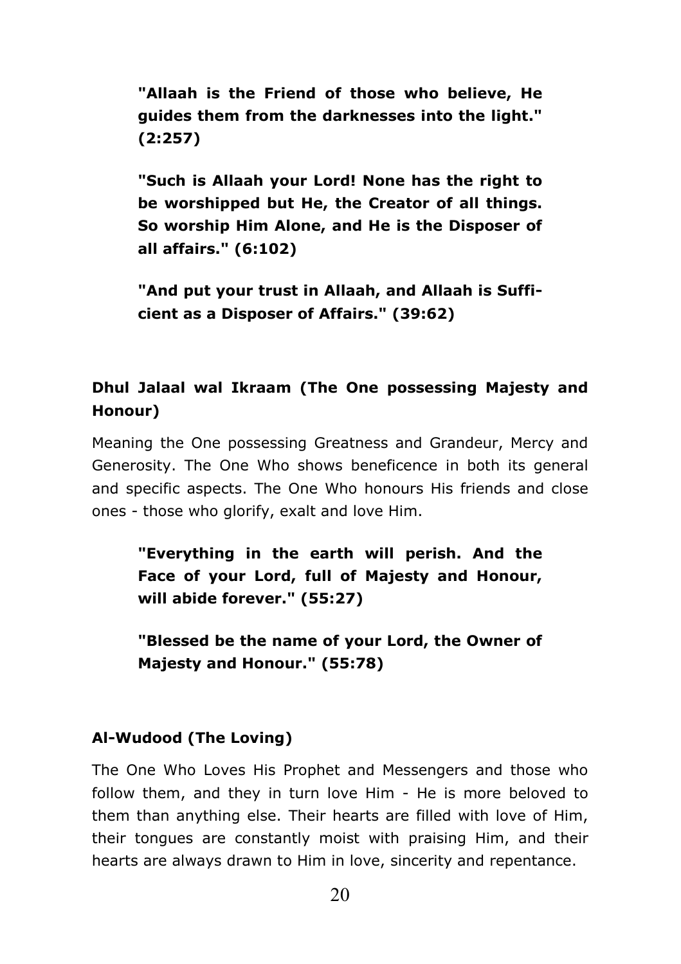"Allaah is the Friend of those who believe, He guides them from the darknesses into the light."  $(2:257)$ 

"Such is Allaah your Lord! None has the right to be worshipped but He, the Creator of all things. So worship Him Alone, and He is the Disposer of all affairs." (6:102)

"And put your trust in Allaah, and Allaah is Sufficient as a Disposer of Affairs." (39:62)

# Dhul Jalaal wal Ikraam (The One possessing Majesty and Honour)

Meaning the One possessing Greatness and Grandeur, Mercy and Generosity. The One Who shows beneficence in both its general and specific aspects. The One Who honours His friends and close ones - those who glorify, exalt and love Him.

"Everything in the earth will perish. And the Face of your Lord, full of Majesty and Honour, will abide forever." (55:27)

"Blessed be the name of your Lord, the Owner of Majesty and Honour." (55:78)

# Al-Wudood (The Loving)

The One Who Loves His Prophet and Messengers and those who follow them, and they in turn love Him - He is more beloved to them than anything else. Their hearts are filled with love of Him, their tongues are constantly moist with praising Him, and their hearts are always drawn to Him in love, sincerity and repentance.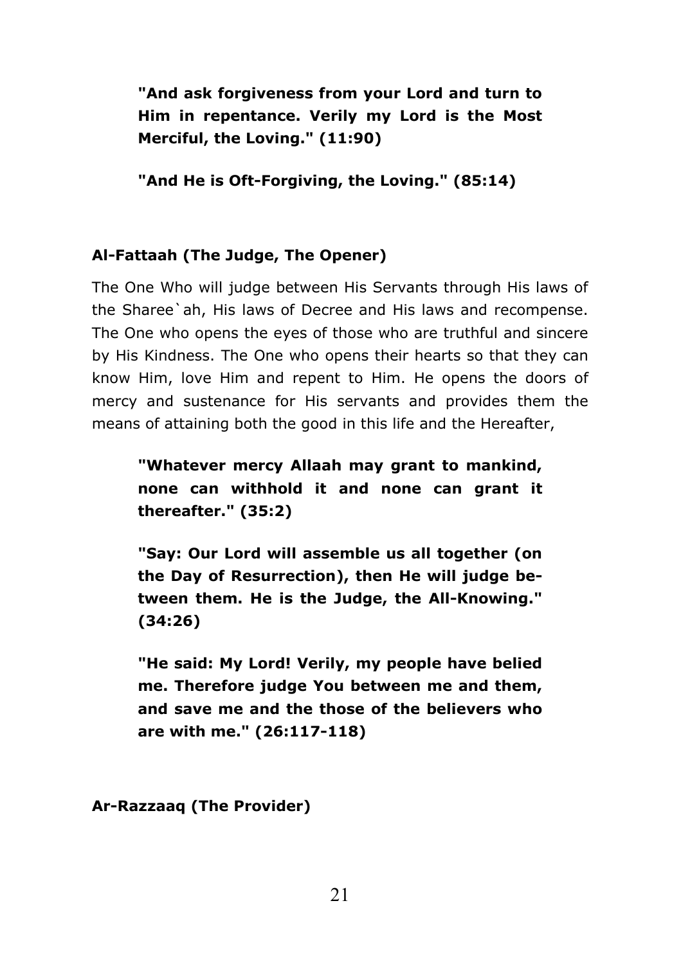"And ask forgiveness from your Lord and turn to Him in repentance. Verily my Lord is the Most Merciful, the Loving." (11:90)

"And He is Oft-Forgiving, the Loving." (85:14)

# Al-Fattaah (The Judge, The Opener)

The One Who will judge between His Servants through His laws of the Sharee'ah, His laws of Decree and His laws and recompense. The One who opens the eves of those who are truthful and sincere by His Kindness. The One who opens their hearts so that they can know Him, love Him and repent to Him. He opens the doors of mercy and sustenance for His servants and provides them the means of attaining both the good in this life and the Hereafter.

"Whatever mercy Allaah may grant to mankind, none can withhold it and none can grant it thereafter." (35:2)

"Say: Our Lord will assemble us all together (on the Day of Resurrection), then He will judge between them. He is the Judge, the All-Knowing."  $(34:26)$ 

"He said: My Lord! Verily, my people have belied me. Therefore judge You between me and them, and save me and the those of the believers who are with me." (26:117-118)

Ar-Razzaag (The Provider)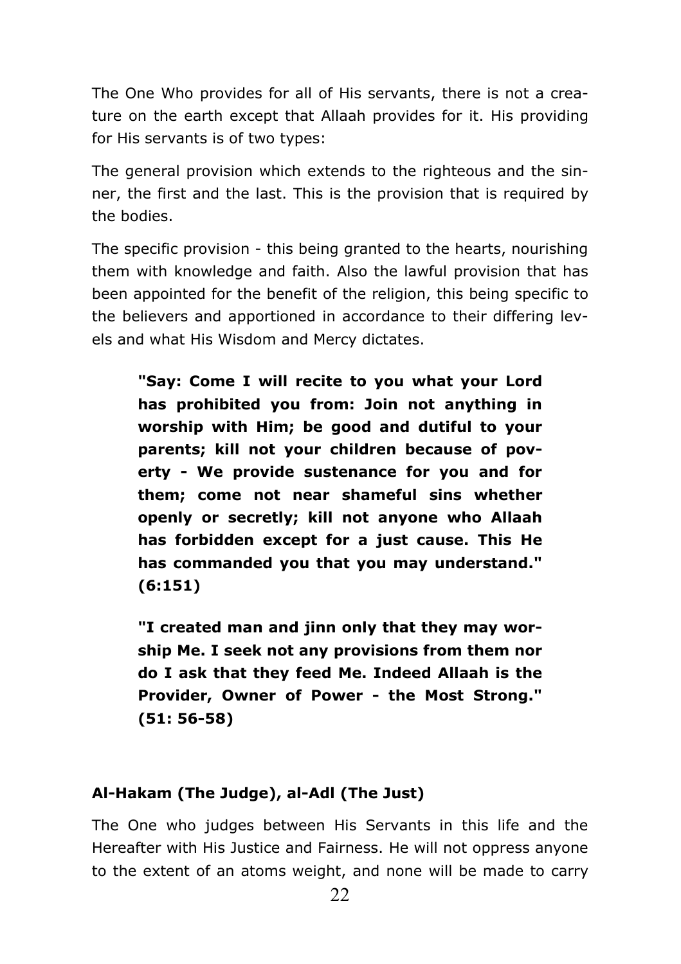The One Who provides for all of His servants, there is not a creature on the earth except that Allaah provides for it. His providing for His servants is of two types:

The general provision which extends to the righteous and the sinner, the first and the last. This is the provision that is required by the bodies.

The specific provision - this being granted to the hearts, nourishing them with knowledge and faith. Also the lawful provision that has been appointed for the benefit of the religion, this being specific to the believers and apportioned in accordance to their differing levels and what His Wisdom and Mercy dictates.

"Sav: Come I will recite to you what your Lord has prohibited you from: Join not anything in worship with Him; be good and dutiful to your parents; kill not your children because of poverty - We provide sustenance for you and for them; come not near shameful sins whether openly or secretly; kill not anyone who Allaah has forbidden except for a just cause. This He has commanded you that you may understand."  $(6:151)$ 

"I created man and jinn only that they may worship Me. I seek not any provisions from them nor do I ask that they feed Me. Indeed Allaah is the Provider, Owner of Power - the Most Strong."  $(51:56-58)$ 

#### Al-Hakam (The Judge), al-Adl (The Just)

The One who judges between His Servants in this life and the Hereafter with His Justice and Fairness. He will not oppress anyone to the extent of an atoms weight, and none will be made to carry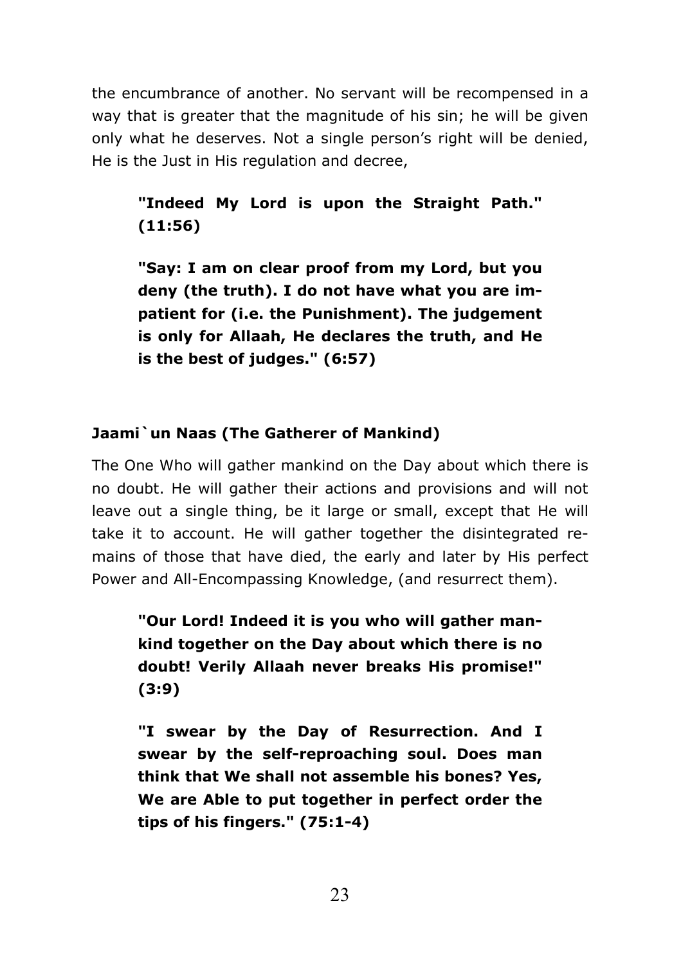the encumbrance of another. No servant will be recompensed in a way that is greater that the magnitude of his sin; he will be given only what he deserves. Not a single person's right will be denied. He is the Just in His regulation and decree,

# "Indeed My Lord is upon the Straight Path."  $(11:56)$

"Say: I am on clear proof from my Lord, but you deny (the truth). I do not have what you are impatient for (i.e. the Punishment). The judgement is only for Allaah, He declares the truth, and He is the best of judges." (6:57)

# Jaami`un Naas (The Gatherer of Mankind)

The One Who will gather mankind on the Day about which there is no doubt. He will gather their actions and provisions and will not leave out a single thing, be it large or small, except that He will take it to account. He will gather together the disintegrated remains of those that have died, the early and later by His perfect Power and All-Encompassing Knowledge, (and resurrect them).

"Our Lord! Indeed it is you who will gather mankind together on the Day about which there is no doubt! Verily Allaah never breaks His promise!"  $(3:9)$ 

"I swear by the Day of Resurrection. And I swear by the self-reproaching soul. Does man think that We shall not assemble his bones? Yes, We are Able to put together in perfect order the tips of his fingers."  $(75:1-4)$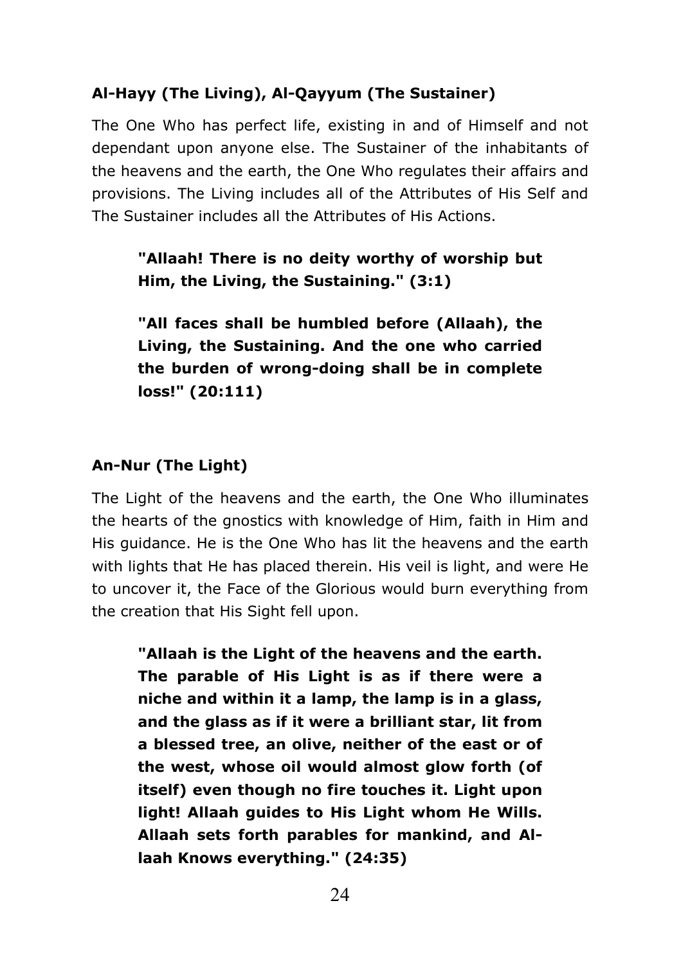# Al-Hayy (The Living), Al-Qayyum (The Sustainer)

The One Who has perfect life, existing in and of Himself and not dependant upon anyone else. The Sustainer of the inhabitants of the heavens and the earth, the One Who regulates their affairs and provisions. The Living includes all of the Attributes of His Self and The Sustainer includes all the Attributes of His Actions.

"Allaah! There is no deity worthy of worship but Him, the Living, the Sustaining." (3:1)

"All faces shall be humbled before (Allaah), the Living, the Sustaining. And the one who carried the burden of wrong-doing shall be in complete loss!" (20:111)

## An-Nur (The Light)

The Light of the heavens and the earth, the One Who illuminates the hearts of the gnostics with knowledge of Him, faith in Him and His guidance. He is the One Who has lit the heavens and the earth with lights that He has placed therein. His yeil is light, and were He to uncover it, the Face of the Glorious would burn everything from the creation that His Sight fell upon.

"Allaah is the Light of the heavens and the earth. The parable of His Light is as if there were a niche and within it a lamp, the lamp is in a glass, and the glass as if it were a brilliant star, lit from a blessed tree, an olive, neither of the east or of the west, whose oil would almost glow forth (of itself) even though no fire touches it. Light upon light! Allaah guides to His Light whom He Wills. Allaah sets forth parables for mankind, and Allaah Knows everything." (24:35)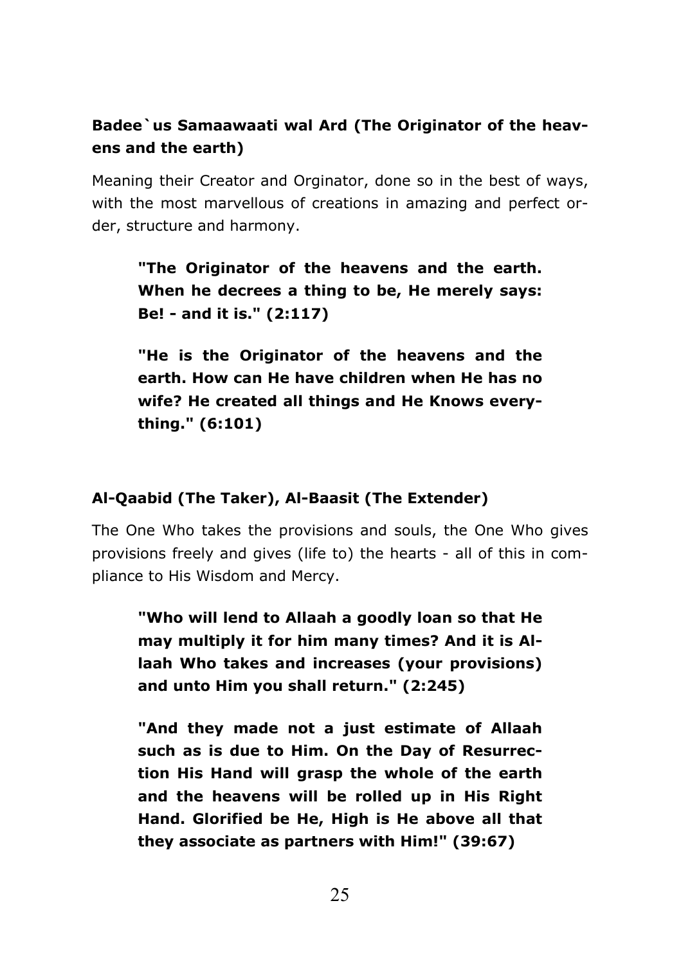# Badee`us Samaawaati wal Ard (The Originator of the heavens and the earth)

Meaning their Creator and Orginator, done so in the best of ways, with the most marvellous of creations in amazing and perfect order, structure and harmony.

"The Originator of the heavens and the earth. When he decrees a thing to be, He merely says: Be! - and it is." (2:117)

"He is the Originator of the heavens and the earth. How can He have children when He has no wife? He created all things and He Knows everything." (6:101)

## Al-Qaabid (The Taker), Al-Baasit (The Extender)

The One Who takes the provisions and souls, the One Who gives provisions freely and gives (life to) the hearts - all of this in compliance to His Wisdom and Mercy.

"Who will lend to Allaah a goodly loan so that He may multiply it for him many times? And it is Allaah Who takes and increases (vour provisions) and unto Him you shall return." (2:245)

"And they made not a just estimate of Allaah such as is due to Him. On the Day of Resurrection His Hand will grasp the whole of the earth and the heavens will be rolled up in His Right Hand, Glorified be He, High is He above all that they associate as partners with Him!" (39:67)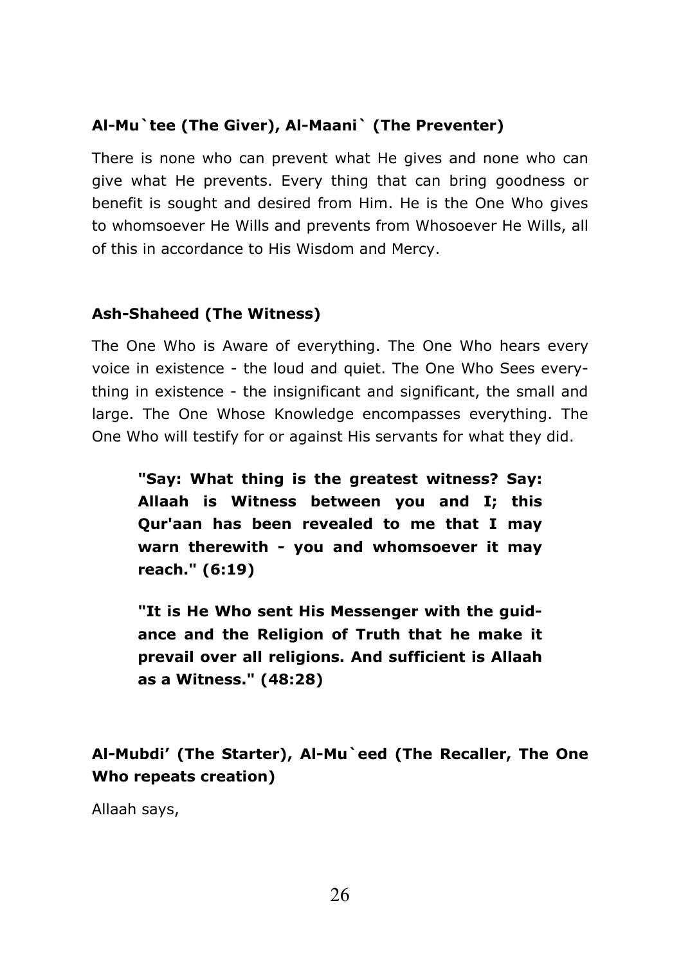# Al-Mu`tee (The Giver), Al-Maani` (The Preventer)

There is none who can prevent what He gives and none who can give what He prevents. Every thing that can bring goodness or benefit is sought and desired from Him. He is the One Who gives to whomsoever He Wills and prevents from Whosoever He Wills, all of this in accordance to His Wisdom and Mercy.

# **Ash-Shaheed (The Witness)**

The One Who is Aware of everything. The One Who hears every voice in existence - the loud and quiet. The One Who Sees everything in existence - the insignificant and significant, the small and large. The One Whose Knowledge encompasses everything. The One Who will testify for or against His servants for what they did.

"Say: What thing is the greatest witness? Say: Allaah is Witness between you and I; this Qur'aan has been revealed to me that I may warn therewith - you and whomsoever it may reach." (6:19)

"It is He Who sent His Messenger with the guidance and the Religion of Truth that he make it prevail over all religions. And sufficient is Allaah as a Witness." (48:28)

Al-Mubdi' (The Starter), Al-Mu`eed (The Recaller, The One Who repeats creation)

Allaah says,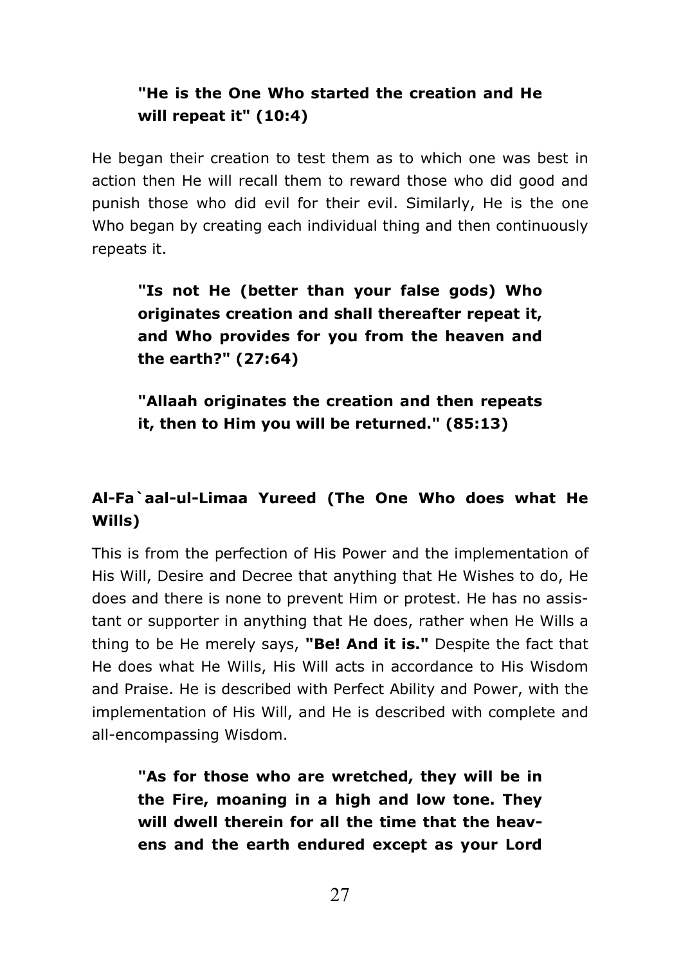# "He is the One Who started the creation and He will repeat it" (10:4)

He began their creation to test them as to which one was best in action then He will recall them to reward those who did good and punish those who did evil for their evil. Similarly, He is the one Who began by creating each individual thing and then continuously repeats it.

"Is not He (better than your false gods) Who originates creation and shall thereafter repeat it, and Who provides for you from the heaven and the earth?" (27:64)

"Allaah originates the creation and then repeats it, then to Him you will be returned." (85:13)

# Al-Fa`aal-ul-Limaa Yureed (The One Who does what He Wills)

This is from the perfection of His Power and the implementation of His Will, Desire and Decree that anything that He Wishes to do, He does and there is none to prevent Him or protest. He has no assistant or supporter in anything that He does, rather when He Wills a thing to be He merely says, "Be! And it is." Despite the fact that He does what He Wills, His Will acts in accordance to His Wisdom and Praise. He is described with Perfect Ability and Power, with the implementation of His Will, and He is described with complete and all-encompassing Wisdom.

"As for those who are wretched, they will be in the Fire, moaning in a high and low tone. They will dwell therein for all the time that the heavens and the earth endured except as your Lord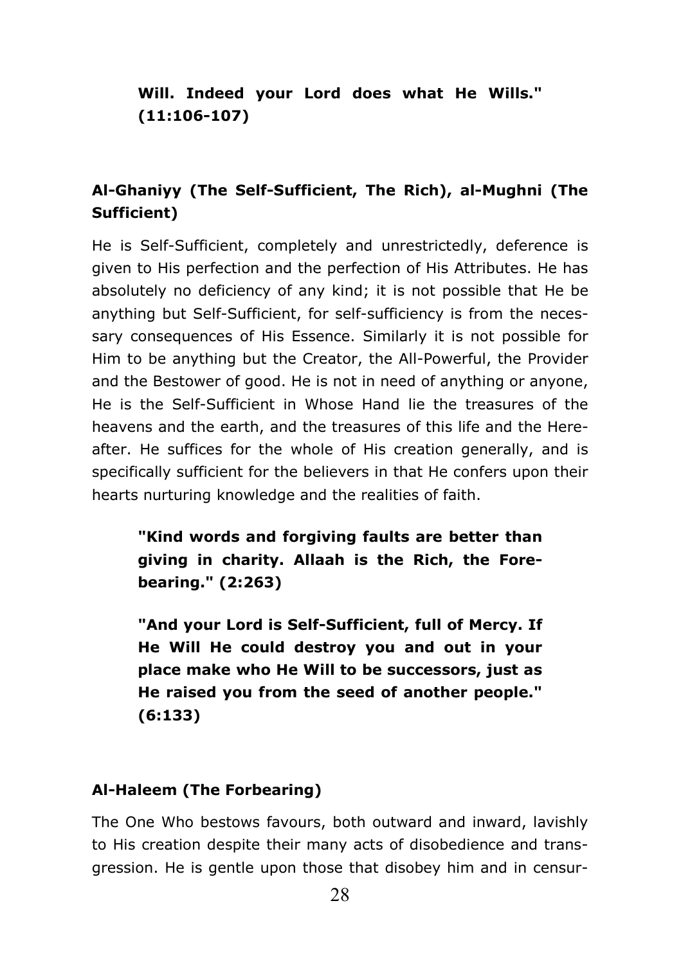# Will. Indeed your Lord does what He Wills."  $(11:106-107)$

# Al-Ghaniyy (The Self-Sufficient, The Rich), al-Mughni (The Sufficient)

He is Self-Sufficient, completely and unrestrictedly, deference is given to His perfection and the perfection of His Attributes. He has absolutely no deficiency of any kind; it is not possible that He be anything but Self-Sufficient, for self-sufficiency is from the necessary consequences of His Essence. Similarly it is not possible for Him to be anything but the Creator, the All-Powerful, the Provider and the Bestower of good. He is not in need of anything or anyone, He is the Self-Sufficient in Whose Hand lie the treasures of the heavens and the earth, and the treasures of this life and the Hereafter. He suffices for the whole of His creation generally, and is specifically sufficient for the believers in that He confers upon their hearts nurturing knowledge and the realities of faith.

"Kind words and forgiving faults are better than giving in charity. Allaah is the Rich, the Forebearing." (2:263)

"And your Lord is Self-Sufficient, full of Mercy. If He Will He could destroy you and out in your place make who He Will to be successors, just as He raised you from the seed of another people."  $(6:133)$ 

## Al-Haleem (The Forbearing)

The One Who bestows favours, both outward and inward, lavishly to His creation despite their many acts of disobedience and transgression. He is gentle upon those that disobey him and in censur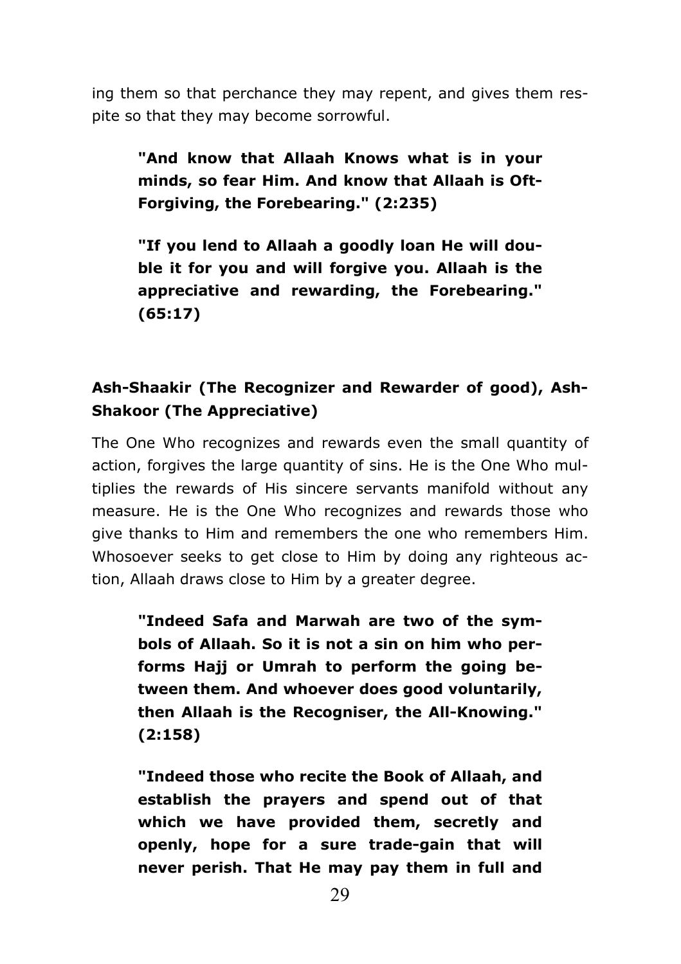ing them so that perchance they may repent, and gives them respite so that they may become sorrowful.

"And know that Allaah Knows what is in your minds, so fear Him. And know that Allaah is Oft-Forgiving, the Forebearing." (2:235)

"If you lend to Allaah a goodly loan He will double it for you and will forgive you. Allaah is the appreciative and rewarding, the Forebearing."  $(65:17)$ 

# Ash-Shaakir (The Recognizer and Rewarder of good), Ash-**Shakoor (The Appreciative)**

The One Who recognizes and rewards even the small quantity of action, forgives the large quantity of sins. He is the One Who multiplies the rewards of His sincere servants manifold without any measure. He is the One Who recognizes and rewards those who give thanks to Him and remembers the one who remembers Him. Whosoever seeks to get close to Him by doing any righteous action, Allaah draws close to Him by a greater degree.

"Indeed Safa and Marwah are two of the symbols of Allaah. So it is not a sin on him who performs Hajj or Umrah to perform the going between them. And whoever does good voluntarily, then Allaah is the Recogniser, the All-Knowing."  $(2:158)$ 

"Indeed those who recite the Book of Allaah, and establish the prayers and spend out of that which we have provided them, secretly and openly, hope for a sure trade-gain that will never perish. That He may pay them in full and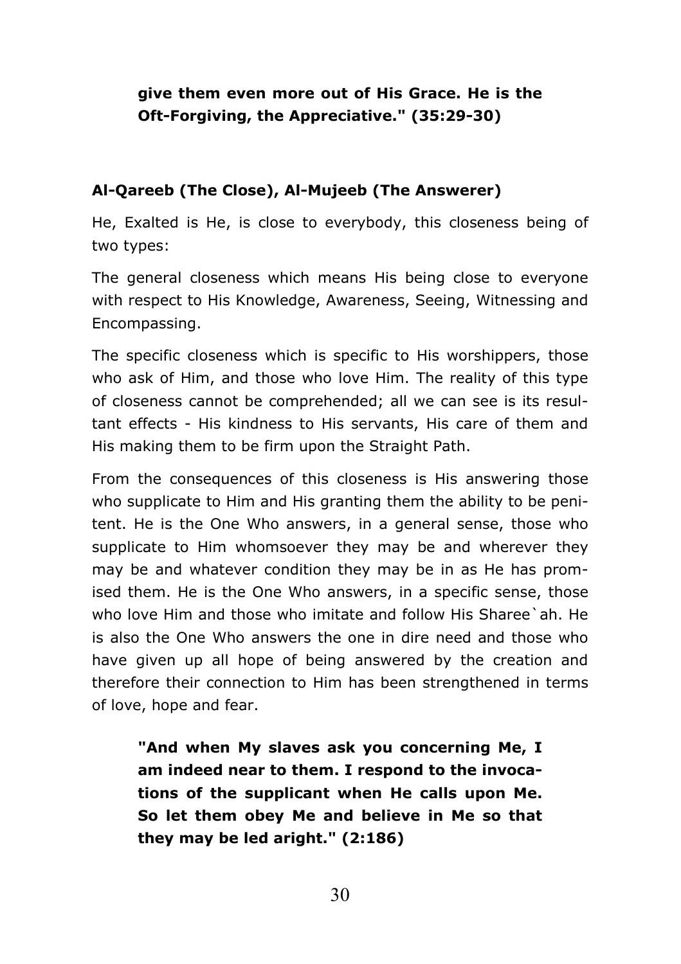# give them even more out of His Grace. He is the Oft-Forgiving, the Appreciative." (35:29-30)

# Al-Qareeb (The Close), Al-Mujeeb (The Answerer)

He, Exalted is He, is close to everybody, this closeness being of two types:

The general closeness which means His being close to everyone with respect to His Knowledge, Awareness, Seeing, Witnessing and Encompassing.

The specific closeness which is specific to His worshippers, those who ask of Him, and those who love Him. The reality of this type of closeness cannot be comprehended; all we can see is its resultant effects - His kindness to His servants. His care of them and His making them to be firm upon the Straight Path.

From the consequences of this closeness is His answering those who supplicate to Him and His granting them the ability to be penitent. He is the One Who answers, in a general sense, those who supplicate to Him whomsoever they may be and wherever they may be and whatever condition they may be in as He has promised them. He is the One Who answers, in a specific sense, those who love Him and those who imitate and follow His Sharee'ah. He is also the One Who answers the one in dire need and those who have given up all hope of being answered by the creation and therefore their connection to Him has been strengthened in terms of love, hope and fear.

"And when My slaves ask you concerning Me, I am indeed near to them. I respond to the invocations of the supplicant when He calls upon Me. So let them obey Me and believe in Me so that they may be led aright." (2:186)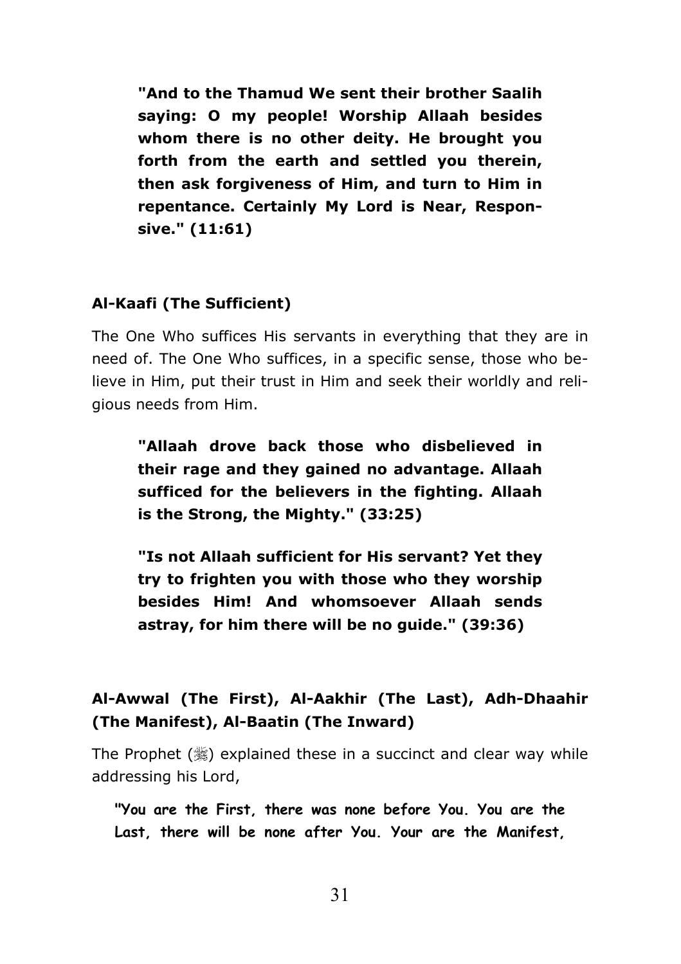"And to the Thamud We sent their brother Saalih saying: O my people! Worship Allaah besides whom there is no other deity. He brought you forth from the earth and settled you therein, then ask forgiveness of Him, and turn to Him in repentance. Certainly My Lord is Near, Responsive." (11:61)

# Al-Kaafi (The Sufficient)

The One Who suffices His servants in everything that they are in need of. The One Who suffices, in a specific sense, those who believe in Him, put their trust in Him and seek their worldly and religious needs from Him.

"Allaah drove back those who disbelieved in their rage and they gained no advantage. Allaah sufficed for the believers in the fighting. Allaah is the Strong, the Mighty." (33:25)

"Is not Allaah sufficient for His servant? Yet they trv to frighten you with those who they worship besides Him! And whomsoever Allaah sends astray, for him there will be no guide." (39:36)

# Al-Awwal (The First), Al-Aakhir (The Last), Adh-Dhaahir (The Manifest), Al-Baatin (The Inward)

The Prophet  $(\frac{45}{36})$  explained these in a succinct and clear way while addressing his Lord,

"You are the First, there was none before You, You are the Last, there will be none after You. Your are the Manifest,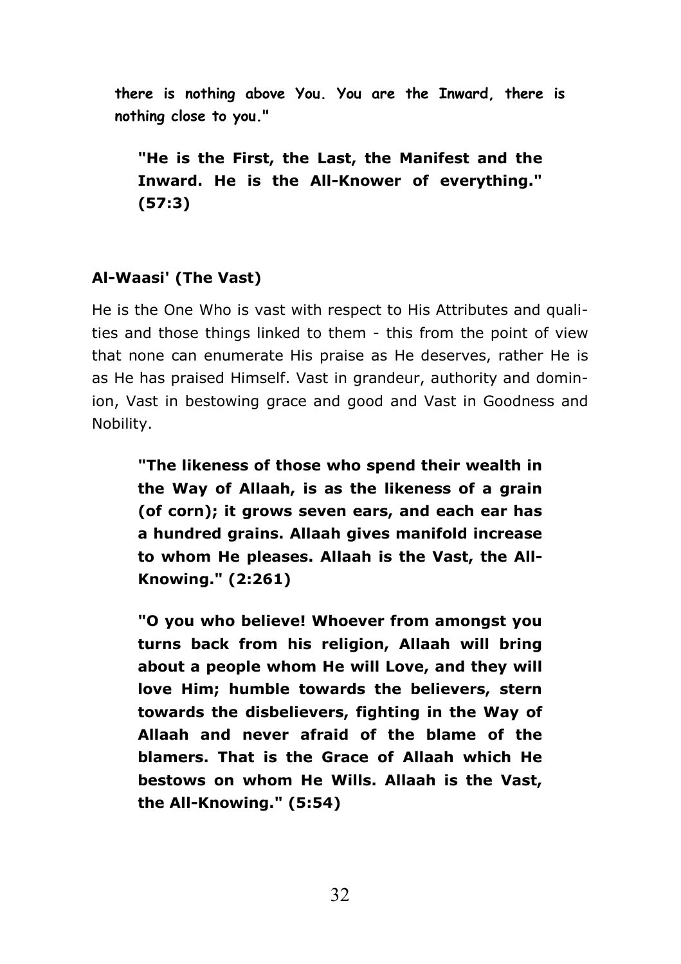there is nothing above You. You are the Inward, there is nothing close to you."

"He is the First, the Last, the Manifest and the Inward. He is the All-Knower of everything."  $(57:3)$ 

# Al-Waasi' (The Vast)

He is the One Who is vast with respect to His Attributes and qualities and those things linked to them - this from the point of view that none can enumerate His praise as He deserves, rather He is as He has praised Himself. Vast in grandeur, authority and dominion, Vast in bestowing grace and good and Vast in Goodness and Nobility.

"The likeness of those who spend their wealth in the Way of Allaah, is as the likeness of a grain (of corn); it grows seven ears, and each ear has a hundred grains. Allaah gives manifold increase to whom He pleases. Allaah is the Vast, the All-Knowing." (2:261)

"O you who believe! Whoever from amongst you turns back from his religion, Allaah will bring about a people whom He will Love, and they will love Him; humble towards the believers, stern towards the disbelievers, fighting in the Way of Allaah and never afraid of the blame of the blamers. That is the Grace of Allaah which He bestows on whom He Wills, Allaah is the Vast, the All-Knowing." (5:54)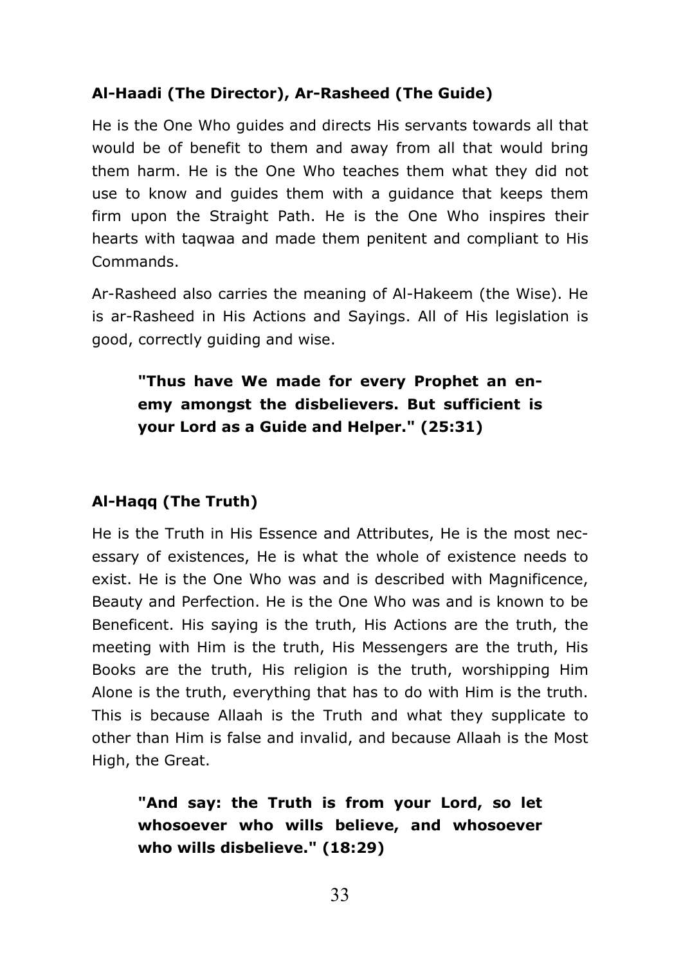# Al-Haadi (The Director), Ar-Rasheed (The Guide)

He is the One Who quides and directs His servants towards all that would be of benefit to them and away from all that would bring them harm. He is the One Who teaches them what they did not use to know and quides them with a quidance that keeps them firm upon the Straight Path. He is the One Who inspires their hearts with tagwaa and made them penitent and compliant to His Commands.

Ar-Rasheed also carries the meaning of Al-Hakeem (the Wise). He is ar-Rasheed in His Actions and Sayings. All of His legislation is good, correctly guiding and wise.

# "Thus have We made for every Prophet an enemy amongst the disbelievers. But sufficient is your Lord as a Guide and Helper." (25:31)

## Al-Hagg (The Truth)

He is the Truth in His Essence and Attributes, He is the most necessary of existences. He is what the whole of existence needs to exist. He is the One Who was and is described with Magnificence, Beauty and Perfection. He is the One Who was and is known to be Beneficent. His saying is the truth, His Actions are the truth, the meeting with Him is the truth, His Messengers are the truth, His Books are the truth, His religion is the truth, worshipping Him Alone is the truth, everything that has to do with Him is the truth. This is because Allaah is the Truth and what they supplicate to other than Him is false and invalid, and because Allaah is the Most High, the Great.

"And say: the Truth is from your Lord, so let whosoever who wills believe, and whosoever who wills disbelieve." (18:29)